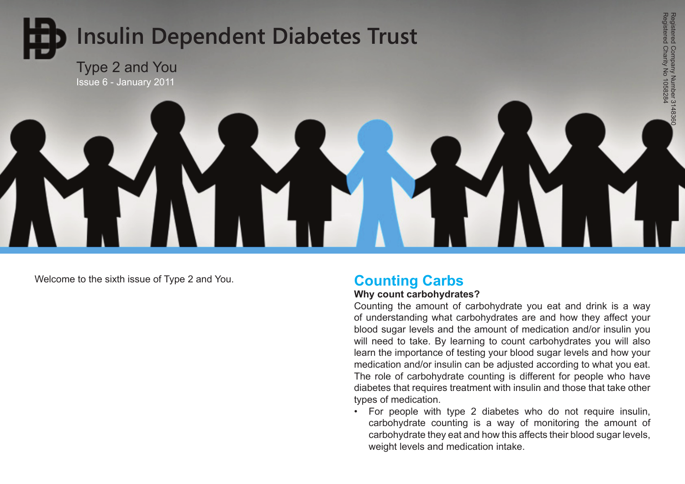

Welcome to the sixth issue of Type 2 and You. **Counting Carbs** 

#### **Why count carbohydrates?**

Counting the amount of carbohydrate you eat and drink is a way of understanding what carbohydrates are and how they affect your blood sugar levels and the amount of medication and/or insulin you will need to take. By learning to count carbohydrates you will also learn the importance of testing your blood sugar levels and how your medication and/or insulin can be adjusted according to what you eat. The role of carbohydrate counting is different for people who have diabetes that requires treatment with insulin and those that take other types of medication.

Registered Charity No 1058284 Registered Company Number 3148360

Registered Company Number 3148360<br>Registered Charity No 1058284

• For people with type 2 diabetes who do not require insulin, carbohydrate counting is a way of monitoring the amount of carbohydrate they eat and how this affects their blood sugar levels, weight levels and medication intake.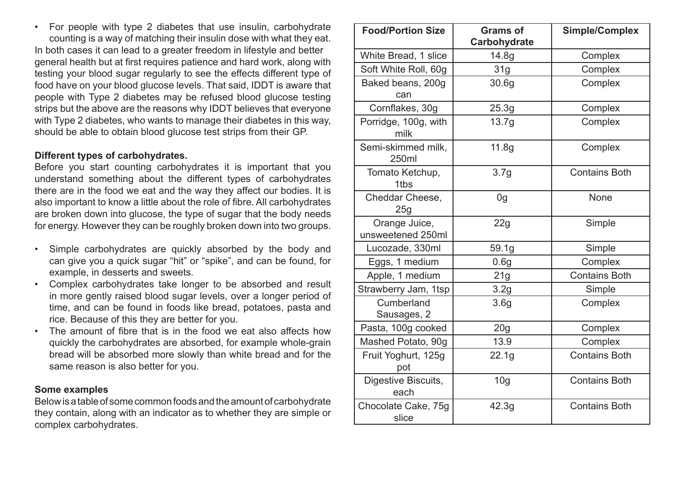• For people with type 2 diabetes that use insulin, carbohydrate counting is a way of matching their insulin dose with what they eat. In both cases it can lead to a greater freedom in lifestyle and better general health but at first requires patience and hard work, along with testing your blood sugar regularly to see the effects different type of food have on your blood glucose levels. That said, IDDT is aware that people with Type 2 diabetes may be refused blood glucose testing strips but the above are the reasons why IDDT believes that everyone with Type 2 diabetes, who wants to manage their diabetes in this way, should be able to obtain blood glucose test strips from their GP.

#### **Different types of carbohydrates.**

Before you start counting carbohydrates it is important that you understand something about the different types of carbohydrates there are in the food we eat and the way they affect our bodies. It is also important to know a little about the role of fibre. All carbohydrates are broken down into glucose, the type of sugar that the body needs for energy. However they can be roughly broken down into two groups.

- • Simple carbohydrates are quickly absorbed by the body and can give you a quick sugar "hit" or "spike", and can be found, for example, in desserts and sweets.
- Complex carbohydrates take longer to be absorbed and result in more gently raised blood sugar levels, over a longer period of time, and can be found in foods like bread, potatoes, pasta and rice. Because of this they are better for you.
- The amount of fibre that is in the food we eat also affects how quickly the carbohydrates are absorbed, for example whole-grain bread will be absorbed more slowly than white bread and for the same reason is also better for you.

#### **Some examples**

Below is a table of some common foods and the amount of carbohydrate they contain, along with an indicator as to whether they are simple or complex carbohydrates.

| <b>Food/Portion Size</b>           | <b>Grams of</b><br>Carbohydrate | <b>Simple/Complex</b> |
|------------------------------------|---------------------------------|-----------------------|
| White Bread, 1 slice               | 14.8g                           | Complex               |
| Soft White Roll, 60g               | 31g                             | Complex               |
| Baked beans, 200g<br>can           | 30.6 <sub>g</sub>               | Complex               |
| Cornflakes, 30g                    | 25.3g                           | Complex               |
| Porridge, 100g, with<br>milk       | 13.7g                           | Complex               |
| Semi-skimmed milk,<br>250ml        | 11.8g                           | Complex               |
| Tomato Ketchup,<br>1tbs            | 3.7g                            | <b>Contains Both</b>  |
| Cheddar Cheese,<br>25g             | 0 <sub>g</sub>                  | <b>None</b>           |
| Orange Juice,<br>unsweetened 250ml | 22g                             | Simple                |
| Lucozade, 330ml                    | 59.1g                           | Simple                |
| Eggs, 1 medium                     | 0.6g                            | Complex               |
| Apple, 1 medium                    | 21g                             | <b>Contains Both</b>  |
| Strawberry Jam, 1tsp               | 3.2g                            | Simple                |
| Cumberland<br>Sausages, 2          | 3.6 <sub>g</sub>                | Complex               |
| Pasta, 100g cooked                 | 20g                             | Complex               |
| Mashed Potato, 90g                 | 13.9                            | Complex               |
| Fruit Yoghurt, 125g<br>pot         | 22.1g                           | <b>Contains Both</b>  |
| Digestive Biscuits,<br>each        | 10 <sub>g</sub>                 | <b>Contains Both</b>  |
| Chocolate Cake, 75g<br>slice       | 42.3g                           | <b>Contains Both</b>  |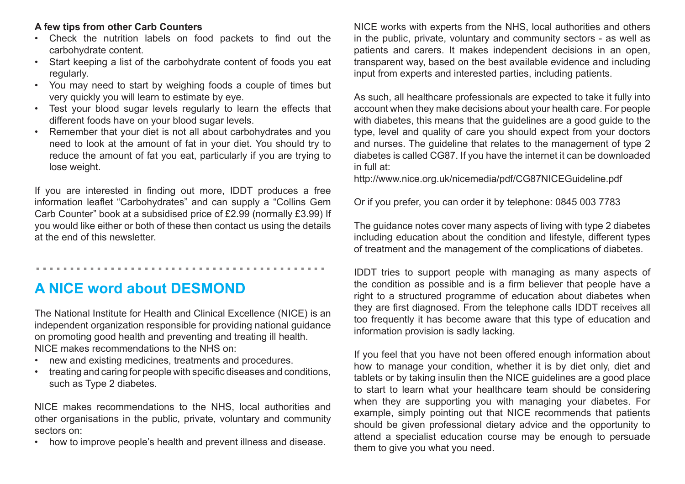### **A few tips from other Carb Counters**

- • Check the nutrition labels on food packets to find out the carbohydrate content.
- Start keeping a list of the carbohydrate content of foods you eat regularly.
- You may need to start by weighing foods a couple of times but very quickly you will learn to estimate by eye.
- • Test your blood sugar levels regularly to learn the effects that different foods have on your blood sugar levels.
- Remember that your diet is not all about carbohydrates and you need to look at the amount of fat in your diet. You should try to reduce the amount of fat you eat, particularly if you are trying to lose weight.

If you are interested in finding out more, IDDT produces a free information leaflet "Carbohydrates" and can supply a "Collins Gem Carb Counter" book at a subsidised price of £2.99 (normally £3.99) If you would like either or both of these then contact us using the details at the end of this newsletter.

**A NICE word about DESMOND**

...........................................

The National Institute for Health and Clinical Excellence (NICE) is an independent organization responsible for providing national guidance on promoting good health and preventing and treating ill health. NICE makes recommendations to the NHS on:

- new and existing medicines, treatments and procedures.
- treating and caring for people with specific diseases and conditions, such as Type 2 diabetes.

NICE makes recommendations to the NHS, local authorities and other organisations in the public, private, voluntary and community sectors on:

how to improve people's health and prevent illness and disease.

NICE works with experts from the NHS, local authorities and others in the public, private, voluntary and community sectors - as well as patients and carers. It makes independent decisions in an open, transparent way, based on the best available evidence and including input from experts and interested parties, including patients.

As such, all healthcare professionals are expected to take it fully into account when they make decisions about your health care. For people with diabetes, this means that the guidelines are a good guide to the type, level and quality of care you should expect from your doctors and nurses. The guideline that relates to the management of type 2 diabetes is called CG87. If you have the internet it can be downloaded in full at:

http://www.nice.org.uk/nicemedia/pdf/CG87NICEGuideline.pdf

Or if you prefer, you can order it by telephone: 0845 003 7783

The guidance notes cover many aspects of living with type 2 diabetes including education about the condition and lifestyle, different types of treatment and the management of the complications of diabetes.

IDDT tries to support people with managing as many aspects of the condition as possible and is a firm believer that people have a right to a structured programme of education about diabetes when they are first diagnosed. From the telephone calls IDDT receives all too frequently it has become aware that this type of education and information provision is sadly lacking.

If you feel that you have not been offered enough information about how to manage your condition, whether it is by diet only, diet and tablets or by taking insulin then the NICE guidelines are a good place to start to learn what your healthcare team should be considering when they are supporting you with managing your diabetes. For example, simply pointing out that NICE recommends that patients should be given professional dietary advice and the opportunity to attend a specialist education course may be enough to persuade them to give you what you need.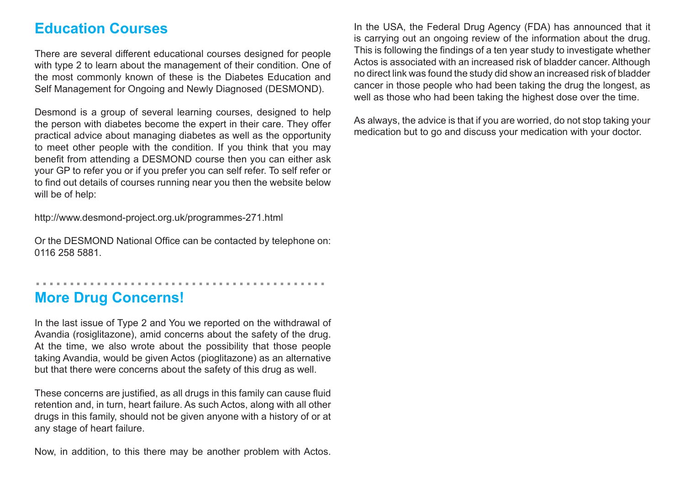### **Education Courses**

There are several different educational courses designed for people with type 2 to learn about the management of their condition. One of the most commonly known of these is the Diabetes Education and Self Management for Ongoing and Newly Diagnosed (DESMOND).

Desmond is a group of several learning courses, designed to help the person with diabetes become the expert in their care. They offer practical advice about managing diabetes as well as the opportunity to meet other people with the condition. If you think that you may benefit from attending a DESMOND course then you can either ask your GP to refer you or if you prefer you can self refer. To self refer or to find out details of courses running near you then the website below will be of help:

http://www.desmond-project.org.uk/programmes-271.html

Or the DESMOND National Office can be contacted by telephone on: 0116 258 5881.

...........................................

## **More Drug Concerns!**

In the last issue of Type 2 and You we reported on the withdrawal of Avandia (rosiglitazone), amid concerns about the safety of the drug. At the time, we also wrote about the possibility that those people taking Avandia, would be given Actos (pioglitazone) as an alternative but that there were concerns about the safety of this drug as well.

These concerns are justified, as all drugs in this family can cause fluid retention and, in turn, heart failure. As such Actos, along with all other drugs in this family, should not be given anyone with a history of or at any stage of heart failure.

Now, in addition, to this there may be another problem with Actos.

In the USA, the Federal Drug Agency (FDA) has announced that it is carrying out an ongoing review of the information about the drug. This is following the findings of a ten year study to investigate whether Actos is associated with an increased risk of bladder cancer. Although no direct link was found the study did show an increased risk of bladder cancer in those people who had been taking the drug the longest, as well as those who had been taking the highest dose over the time.

As always, the advice is that if you are worried, do not stop taking your medication but to go and discuss your medication with your doctor.